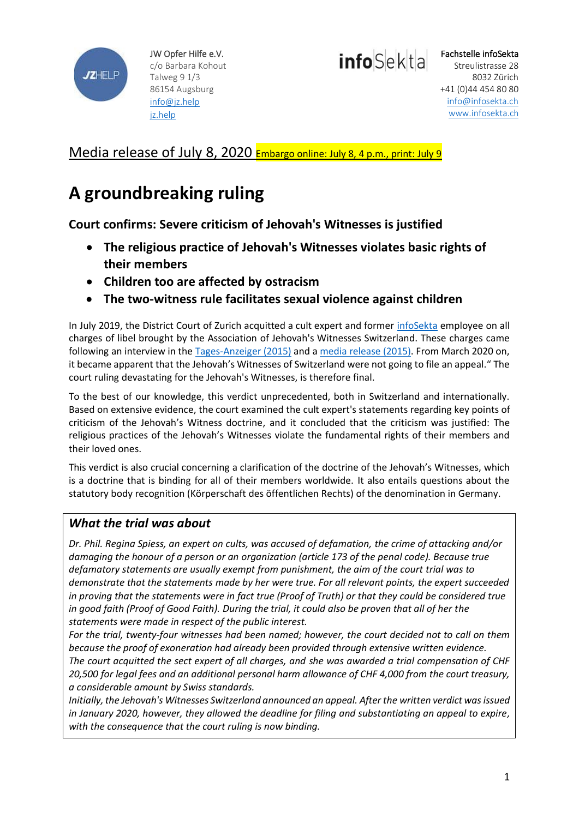

JW Opfer Hilfe e.V. c/o Barbara Kohout Talweg 9 1/3 86154 Augsburg [info@jz.help](mailto:info@jz.help) [jz.help](http://jz.help/)

infoSekta

Fachstelle infoSekta Streulistrasse 28 8032 Zürich +41 (0)44 454 80 80 [info@infosekta.ch](mailto:info@infosekta.ch) [www.infosekta.ch](http://www.infosekta.ch/)

Media release of July 8, 2020 Embargo online: July 8, 4 p.m., print: July 9

# **A groundbreaking ruling**

**Court confirms: Severe criticism of Jehovah's Witnesses is justified**

- **The religious practice of Jehovah's Witnesses violates basic rights of their members**
- **Children too are affected by ostracism**
- **The two-witness rule facilitates sexual violence against children**

In July 2019, the District Court of Zurich acquitted a cult expert and former [infoSekta](http://www.infosekta.ch/) employee on all charges of libel brought by the Association of Jehovah's Witnesses Switzerland. These charges came following an interview in th[e Tages-Anzeiger \(2015\)](http://jz.help/wp-content/uploads/2020/07/%C2%ABZeugen-Jehovas-reissen-Familien-auseinander%C2%BB-Schweiz-Standard-tagesanzeiger.ch_.pdf) and a [media release \(2015\).](http://www.infosekta.ch/media/pdf/2015_MM_Gedenktag_Opfer_WTG_25072015.pdf) From March 2020 on, it became apparent that the Jehovah's Witnesses of Switzerland were not going to file an appeal." The court ruling devastating for the Jehovah's Witnesses, is therefore final.

To the best of our knowledge, this verdict unprecedented, both in Switzerland and internationally. Based on extensive evidence, the court examined the cult expert's statements regarding key points of criticism of the Jehovah's Witness doctrine, and it concluded that the criticism was justified: The religious practices of the Jehovah's Witnesses violate the fundamental rights of their members and their loved ones.

This verdict is also crucial concerning a clarification of the doctrine of the Jehovah's Witnesses, which is a doctrine that is binding for all of their members worldwide. It also entails questions about the statutory body recognition (Körperschaft des öffentlichen Rechts) of the denomination in Germany.

### *What the trial was about*

*Dr. Phil. Regina Spiess, an expert on cults, was accused of defamation, the crime of attacking and/or damaging the honour of a person or an organization (article 173 of the penal code). Because true defamatory statements are usually exempt from punishment, the aim of the court trial was to demonstrate that the statements made by her were true. For all relevant points, the expert succeeded in proving that the statements were in fact true (Proof of Truth) or that they could be considered true in good faith (Proof of Good Faith). During the trial, it could also be proven that all of her the statements were made in respect of the public interest.* 

*For the trial, twenty-four witnesses had been named; however, the court decided not to call on them because the proof of exoneration had already been provided through extensive written evidence. The court acquitted the sect expert of all charges, and she was awarded a trial compensation of CHF 20,500 for legal fees and an additional personal harm allowance of CHF 4,000 from the court treasury, a considerable amount by Swiss standards.* 

*Initially, the Jehovah's Witnesses Switzerland announced an appeal. After the written verdict was issued in January 2020, however, they allowed the deadline for filing and substantiating an appeal to expire, with the consequence that the court ruling is now binding.*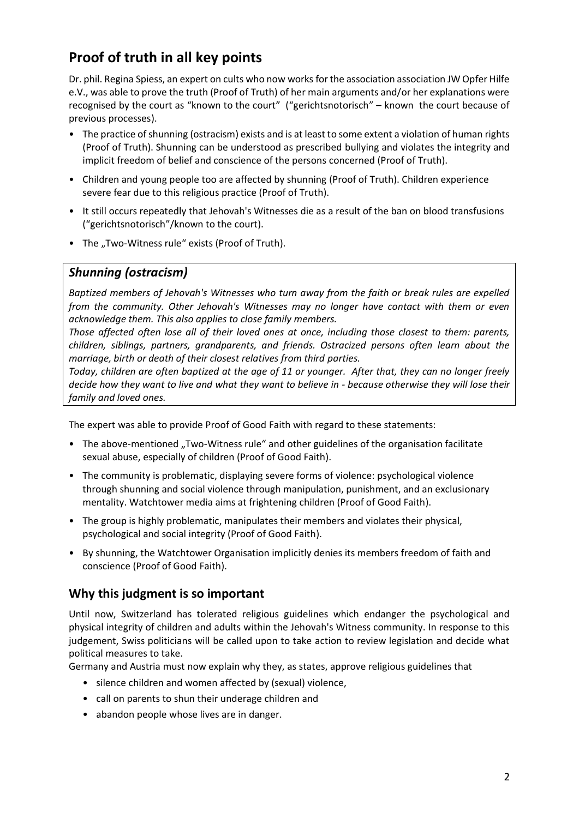## **Proof of truth in all key points**

Dr. phil. Regina Spiess, an expert on cults who now works for the association association JW Opfer Hilfe e.V., was able to prove the truth (Proof of Truth) of her main arguments and/or her explanations were recognised by the court as "known to the court" ("gerichtsnotorisch" – known the court because of previous processes).

- The practice of shunning (ostracism) exists and is at least to some extent a violation of human rights (Proof of Truth). Shunning can be understood as prescribed bullying and violates the integrity and implicit freedom of belief and conscience of the persons concerned (Proof of Truth).
- Children and young people too are affected by shunning (Proof of Truth). Children experience severe fear due to this religious practice (Proof of Truth).
- It still occurs repeatedly that Jehovah's Witnesses die as a result of the ban on blood transfusions ("gerichtsnotorisch"/known to the court).
- The "Two-Witness rule" exists (Proof of Truth).

### *Shunning (ostracism)*

*Baptized members of Jehovah's Witnesses who turn away from the faith or break rules are expelled from the community. Other Jehovah's Witnesses may no longer have contact with them or even acknowledge them. This also applies to close family members.* 

*Those affected often lose all of their loved ones at once, including those closest to them: parents, children, siblings, partners, grandparents, and friends. Ostracized persons often learn about the marriage, birth or death of their closest relatives from third parties.* 

*Today, children are often baptized at the age of 11 or younger. After that, they can no longer freely decide how they want to live and what they want to believe in - because otherwise they will lose their family and loved ones.*

The expert was able to provide Proof of Good Faith with regard to these statements:

- The above-mentioned ..Two-Witness rule" and other guidelines of the organisation facilitate sexual abuse, especially of children (Proof of Good Faith).
- The community is problematic, displaying severe forms of violence: psychological violence through shunning and social violence through manipulation, punishment, and an exclusionary mentality. Watchtower media aims at frightening children (Proof of Good Faith).
- The group is highly problematic, manipulates their members and violates their physical, psychological and social integrity (Proof of Good Faith).
- By shunning, the Watchtower Organisation implicitly denies its members freedom of faith and conscience (Proof of Good Faith).

### **Why this judgment is so important**

Until now, Switzerland has tolerated religious guidelines which endanger the psychological and physical integrity of children and adults within the Jehovah's Witness community. In response to this judgement, Swiss politicians will be called upon to take action to review legislation and decide what political measures to take.

Germany and Austria must now explain why they, as states, approve religious guidelines that

- silence children and women affected by (sexual) violence,
- call on parents to shun their underage children and
- abandon people whose lives are in danger.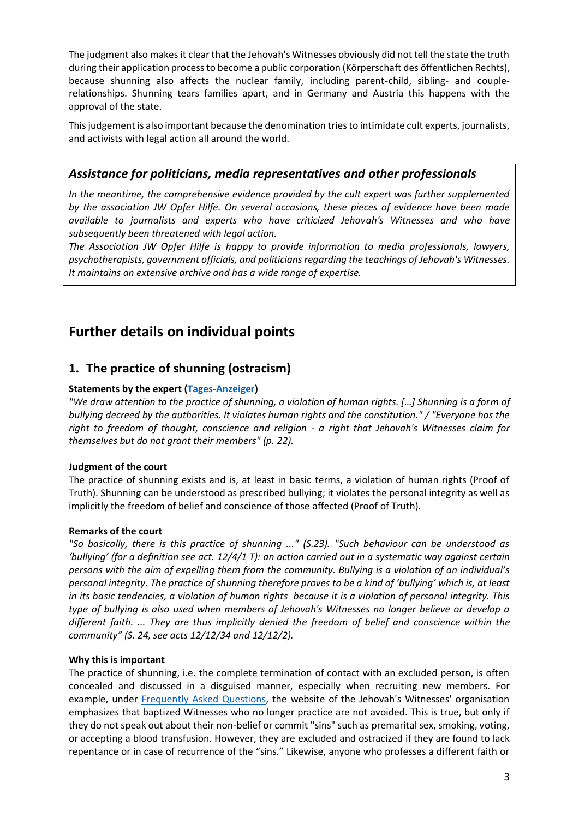The judgment also makes it clear that the Jehovah's Witnesses obviously did not tell the state the truth during their application process to become a public corporation (Körperschaft des öffentlichen Rechts), because shunning also affects the nuclear family, including parent-child, sibling- and couplerelationships. Shunning tears families apart, and in Germany and Austria this happens with the approval of the state.

This judgement is also important because the denomination tries to intimidate cult experts, journalists, and activists with legal action all around the world.

### *Assistance for politicians, media representatives and other professionals*

*In the meantime, the comprehensive evidence provided by the cult expert was further supplemented by the association JW Opfer Hilfe. On several occasions, these pieces of evidence have been made available to journalists and experts who have criticized Jehovah's Witnesses and who have subsequently been threatened with legal action.*

*The Association JW Opfer Hilfe is happy to provide information to media professionals, lawyers, psychotherapists, government officials, and politicians regarding the teachings of Jehovah's Witnesses. It maintains an extensive archive and has a wide range of expertise.*

### **Further details on individual points**

### **1. The practice of shunning (ostracism)**

#### **Statements by the expert [\(Tages-Anzeiger\)](http://jz.help/wp-content/uploads/2020/07/%C2%ABZeugen-Jehovas-reissen-Familien-auseinander%C2%BB-Schweiz-Standard-tagesanzeiger.ch_.pdf)**

*"We draw attention to the practice of shunning, a violation of human rights. […] Shunning is a form of bullying decreed by the authorities. It violates human rights and the constitution." / "Everyone has the right to freedom of thought, conscience and religion - a right that Jehovah's Witnesses claim for themselves but do not grant their members" (p. 22).*

#### **Judgment of the court**

The practice of shunning exists and is, at least in basic terms, a violation of human rights (Proof of Truth). Shunning can be understood as prescribed bullying; it violates the personal integrity as well as implicitly the freedom of belief and conscience of those affected (Proof of Truth).

#### **Remarks of the court**

*"So basically, there is this practice of shunning ..." (S.23). "Such behaviour can be understood as 'bullying' (for a definition see act. 12/4/1 T): an action carried out in a systematic way against certain persons with the aim of expelling them from the community. Bullying is a violation of an individual's personal integrity. The practice of shunning therefore proves to be a kind of 'bullying' which is, at least in its basic tendencies, a violation of human rights because it is a violation of personal integrity. This type of bullying is also used when members of Jehovah's Witnesses no longer believe or develop a different faith. ... They are thus implicitly denied the freedom of belief and conscience within the community" (S. 24, see acts 12/12/34 and 12/12/2).* 

#### **Why this is important**

The practice of shunning, i.e. the complete termination of contact with an excluded person, is often concealed and discussed in a disguised manner, especially when recruiting new members. For example, under [Frequently Asked Questions,](https://www.jw.org/en/jehovahs-witnesses/faq/shunning/) the website of the Jehovah's Witnesses' organisation emphasizes that baptized Witnesses who no longer practice are not avoided. This is true, but only if they do not speak out about their non-belief or commit "sins" such as premarital sex, smoking, voting, or accepting a blood transfusion. However, they are excluded and ostracized if they are found to lack repentance or in case of recurrence of the "sins." Likewise, anyone who professes a different faith or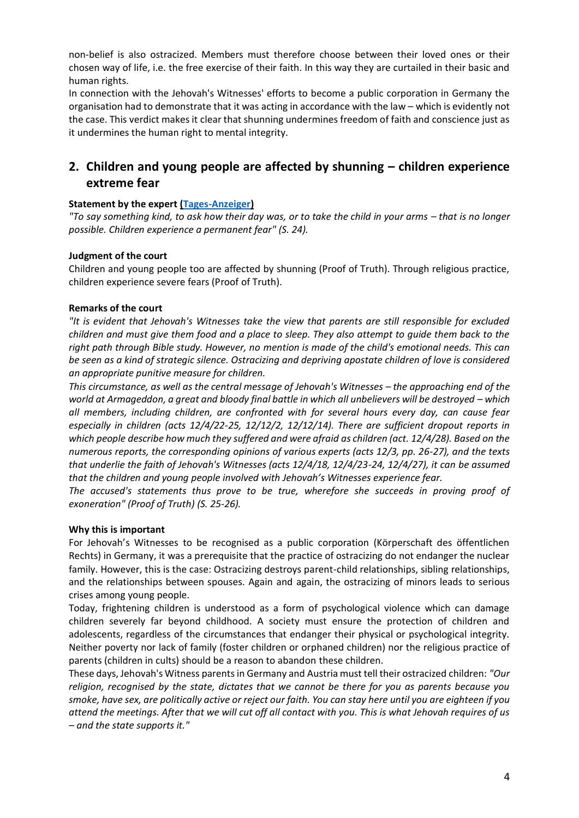non-belief is also ostracized. Members must therefore choose between their loved ones or their chosen way of life, i.e. the free exercise of their faith. In this way they are curtailed in their basic and human rights.

In connection with the Jehovah's Witnesses' efforts to become a public corporation in Germany the organisation had to demonstrate that it was acting in accordance with the law – which is evidently not the case. This verdict makes it clear that shunning undermines freedom of faith and conscience just as it undermines the human right to mental integrity.

### **2. Children and young people are affected by shunning – children experience extreme fear**

#### **Statement by the expert [\(Tages-Anzeiger\)](http://jz.help/wp-content/uploads/2020/07/%C2%ABZeugen-Jehovas-reissen-Familien-auseinander%C2%BB-Schweiz-Standard-tagesanzeiger.ch_.pdf)**

*"To say something kind, to ask how their day was, or to take the child in your arms – that is no longer possible. Children experience a permanent fear" (S. 24).*

#### **Judgment of the court**

Children and young people too are affected by shunning (Proof of Truth). Through religious practice, children experience severe fears (Proof of Truth).

#### **Remarks of the court**

*"It is evident that Jehovah's Witnesses take the view that parents are still responsible for excluded children and must give them food and a place to sleep. They also attempt to guide them back to the right path through Bible study. However, no mention is made of the child's emotional needs. This can be seen as a kind of strategic silence. Ostracizing and depriving apostate children of love is considered an appropriate punitive measure for children.*

*This circumstance, as well as the central message of Jehovah's Witnesses – the approaching end of the world at Armageddon, a great and bloody final battle in which all unbelievers will be destroyed – which all members, including children, are confronted with for several hours every day, can cause fear especially in children (acts 12/4/22-25, 12/12/2, 12/12/14). There are sufficient dropout reports in which people describe how much they suffered and were afraid as children (act. 12/4/28). Based on the numerous reports, the corresponding opinions of various experts (acts 12/3, pp. 26-27), and the texts that underlie the faith of Jehovah's Witnesses (acts 12/4/18, 12/4/23-24, 12/4/27), it can be assumed that the children and young people involved with Jehovah's Witnesses experience fear.* 

*The accused's statements thus prove to be true, wherefore she succeeds in proving proof of exoneration" (Proof of Truth) (S. 25-26).*

#### **Why this is important**

For Jehovah's Witnesses to be recognised as a public corporation (Körperschaft des öffentlichen Rechts) in Germany, it was a prerequisite that the practice of ostracizing do not endanger the nuclear family. However, this is the case: Ostracizing destroys parent-child relationships, sibling relationships, and the relationships between spouses. Again and again, the ostracizing of minors leads to serious crises among young people.

Today, frightening children is understood as a form of psychological violence which can damage children severely far beyond childhood. A society must ensure the protection of children and adolescents, regardless of the circumstances that endanger their physical or psychological integrity. Neither poverty nor lack of family (foster children or orphaned children) nor the religious practice of parents (children in cults) should be a reason to abandon these children.

These days, Jehovah's Witness parents in Germany and Austria must tell their ostracized children: *"Our religion, recognised by the state, dictates that we cannot be there for you as parents because you smoke, have sex, are politically active or reject our faith. You can stay here until you are eighteen if you attend the meetings. After that we will cut off all contact with you. This is what Jehovah requires of us – and the state supports it."*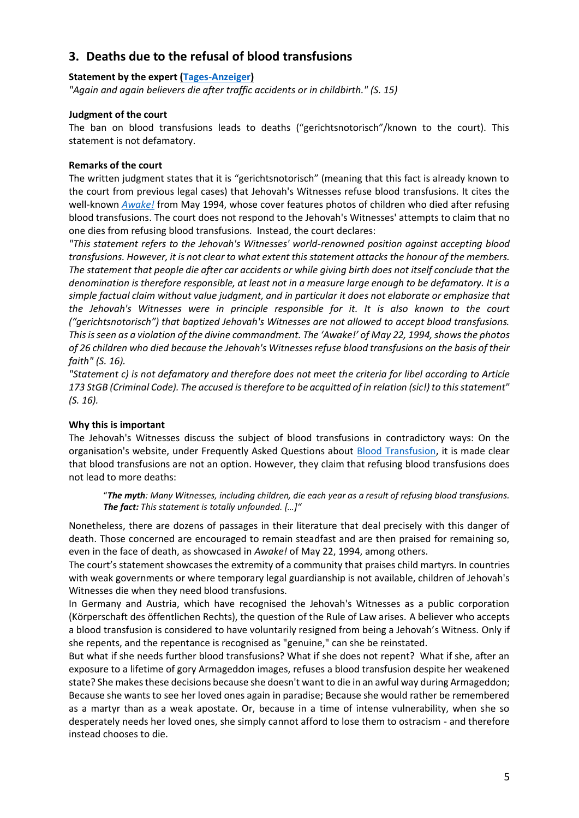### **3. Deaths due to the refusal of blood transfusions**

#### **Statement by the expert [\(Tages-Anzeiger\)](http://jz.help/wp-content/uploads/2020/07/%C2%ABZeugen-Jehovas-reissen-Familien-auseinander%C2%BB-Schweiz-Standard-tagesanzeiger.ch_.pdf)**

*"Again and again believers die after traffic accidents or in childbirth." (S. 15)*

#### **Judgment of the court**

The ban on blood transfusions leads to deaths ("gerichtsnotorisch"/known to the court). This statement is not defamatory.

#### **Remarks of the court**

The written judgment states that it is "gerichtsnotorisch" (meaning that this fact is already known to the court from previous legal cases) that Jehovah's Witnesses refuse blood transfusions. It cites the well-known *[Awake!](https://www.ajwrb.org/watchtower-sacrificial-lambs)* from May 1994, whose cover features photos of children who died after refusing blood transfusions. The court does not respond to the Jehovah's Witnesses' attempts to claim that no one dies from refusing blood transfusions. Instead, the court declares:

*"This statement refers to the Jehovah's Witnesses' world-renowned position against accepting blood transfusions. However, it is not clear to what extent this statement attacks the honour of the members. The statement that people die after car accidents or while giving birth does not itself conclude that the denomination is therefore responsible, at least not in a measure large enough to be defamatory. It is a simple factual claim without value judgment, and in particular it does not elaborate or emphasize that the Jehovah's Witnesses were in principle responsible for it. It is also known to the court ("gerichtsnotorisch") that baptized Jehovah's Witnesses are not allowed to accept blood transfusions. This is seen as a violation of the divine commandment. The 'Awake!' of May 22, 1994, shows the photos of 26 children who died because the Jehovah's Witnesses refuse blood transfusions on the basis of their faith" (S. 16).*

*"Statement c) is not defamatory and therefore does not meet the criteria for libel according to Article 173 StGB (Criminal Code). The accused is therefore to be acquitted of in relation (sic!) to this statement" (S. 16).*

#### **Why this is important**

The Jehovah's Witnesses discuss the subject of blood transfusions in contradictory ways: On the organisation's website, under Frequently Asked Questions about **Blood Transfusion**, it is made clear that blood transfusions are not an option. However, they claim that refusing blood transfusions does not lead to more deaths:

"*The myth: Many Witnesses, including children, die each year as a result of refusing blood transfusions. The fact: This statement is totally unfounded. […]"*

Nonetheless, there are dozens of passages in their literature that deal precisely with this danger of death. Those concerned are encouraged to remain steadfast and are then praised for remaining so, even in the face of death, as showcased in *Awake!* of May 22, 1994, among others.

The court's statement showcases the extremity of a community that praises child martyrs. In countries with weak governments or where temporary legal guardianship is not available, children of Jehovah's Witnesses die when they need blood transfusions.

In Germany and Austria, which have recognised the Jehovah's Witnesses as a public corporation (Körperschaft des öffentlichen Rechts), the question of the Rule of Law arises. A believer who accepts a blood transfusion is considered to have voluntarily resigned from being a Jehovah's Witness. Only if she repents, and the repentance is recognised as "genuine," can she be reinstated.

But what if she needs further blood transfusions? What if she does not repent? What if she, after an exposure to a lifetime of gory Armageddon images, refuses a blood transfusion despite her weakened state? She makes these decisions because she doesn't want to die in an awful way during Armageddon; Because she wants to see her loved ones again in paradise; Because she would rather be remembered as a martyr than as a weak apostate. Or, because in a time of intense vulnerability, when she so desperately needs her loved ones, she simply cannot afford to lose them to ostracism - and therefore instead chooses to die.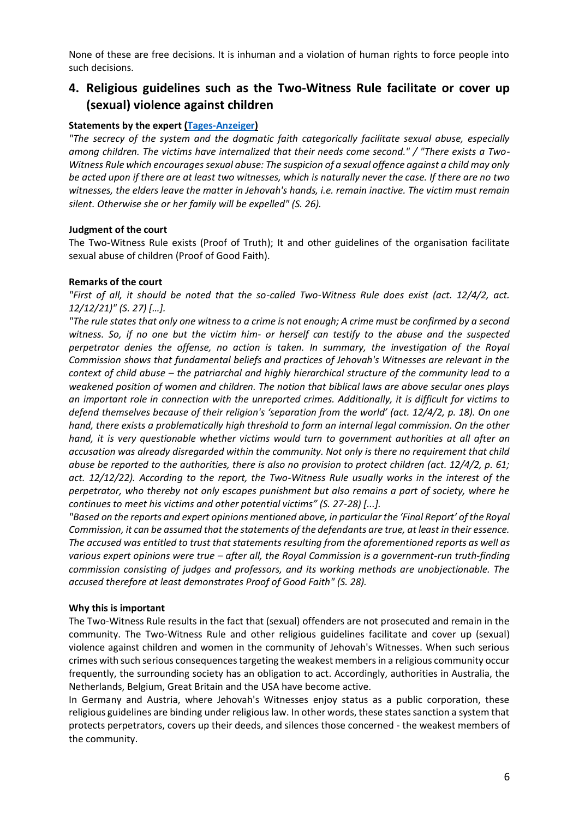None of these are free decisions. It is inhuman and a violation of human rights to force people into such decisions.

### **4. Religious guidelines such as the Two-Witness Rule facilitate or cover up (sexual) violence against children**

#### **Statements by the expert [\(Tages-Anzeiger\)](http://jz.help/wp-content/uploads/2020/07/%C2%ABZeugen-Jehovas-reissen-Familien-auseinander%C2%BB-Schweiz-Standard-tagesanzeiger.ch_.pdf)**

*"The secrecy of the system and the dogmatic faith categorically facilitate sexual abuse, especially among children. The victims have internalized that their needs come second." / "There exists a Two-Witness Rule which encourages sexual abuse: The suspicion of a sexual offence against a child may only be acted upon if there are at least two witnesses, which is naturally never the case. If there are no two witnesses, the elders leave the matter in Jehovah's hands, i.e. remain inactive. The victim must remain silent. Otherwise she or her family will be expelled" (S. 26).*

#### **Judgment of the court**

The Two-Witness Rule exists (Proof of Truth); It and other guidelines of the organisation facilitate sexual abuse of children (Proof of Good Faith).

#### **Remarks of the court**

*"First of all, it should be noted that the so-called Two-Witness Rule does exist (act. 12/4/2, act. 12/12/21)" (S. 27) […].*

*"The rule states that only one witness to a crime is not enough; A crime must be confirmed by a second witness. So, if no one but the victim him- or herself can testify to the abuse and the suspected perpetrator denies the offense, no action is taken. In summary, the investigation of the Royal Commission shows that fundamental beliefs and practices of Jehovah's Witnesses are relevant in the context of child abuse – the patriarchal and highly hierarchical structure of the community lead to a weakened position of women and children. The notion that biblical laws are above secular ones plays an important role in connection with the unreported crimes. Additionally, it is difficult for victims to defend themselves because of their religion's 'separation from the world' (act. 12/4/2, p. 18). On one hand, there exists a problematically high threshold to form an internal legal commission. On the other hand, it is very questionable whether victims would turn to government authorities at all after an accusation was already disregarded within the community. Not only is there no requirement that child abuse be reported to the authorities, there is also no provision to protect children (act. 12/4/2, p. 61;*  act. 12/12/22). According to the report, the Two-Witness Rule usually works in the interest of the *perpetrator, who thereby not only escapes punishment but also remains a part of society, where he continues to meet his victims and other potential victims" (S. 27-28) [...].*

*"Based on the reports and expert opinions mentioned above, in particular the 'Final Report' of the Royal Commission, it can be assumed that the statements of the defendants are true, at least in their essence. The accused was entitled to trust that statements resulting from the aforementioned reports as well as various expert opinions were true – after all, the Royal Commission is a government-run truth-finding commission consisting of judges and professors, and its working methods are unobjectionable. The accused therefore at least demonstrates Proof of Good Faith" (S. 28).*

#### **Why this is important**

The Two-Witness Rule results in the fact that (sexual) offenders are not prosecuted and remain in the community. The Two-Witness Rule and other religious guidelines facilitate and cover up (sexual) violence against children and women in the community of Jehovah's Witnesses. When such serious crimes with such serious consequences targeting the weakest members in a religious community occur frequently, the surrounding society has an obligation to act. Accordingly, authorities in Australia, the Netherlands, Belgium, Great Britain and the USA have become active.

In Germany and Austria, where Jehovah's Witnesses enjoy status as a public corporation, these religious guidelines are binding under religious law. In other words, these states sanction a system that protects perpetrators, covers up their deeds, and silences those concerned - the weakest members of the community.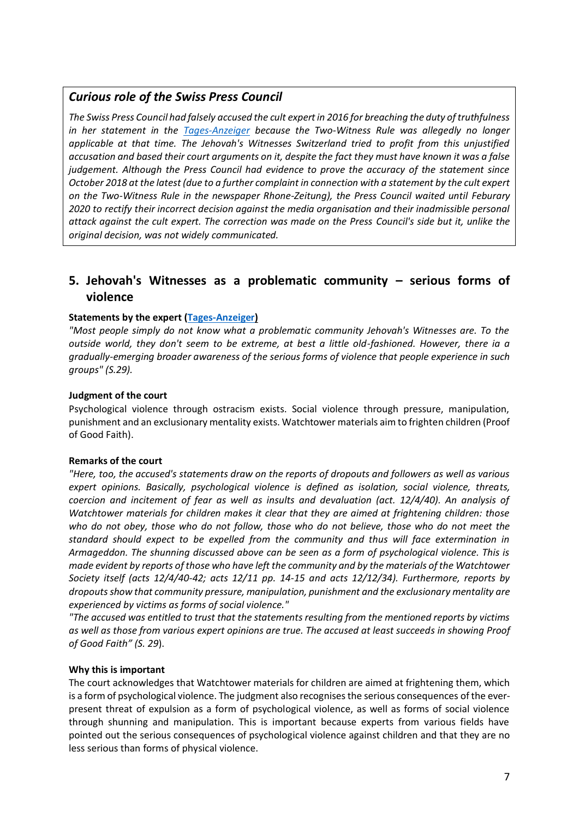### *Curious role of the Swiss Press Council*

*The Swiss Press Council had falsely accused the cult expert in 2016 for breaching the duty of truthfulness in her statement in the [Tages-Anzeiger](http://jz.help/wp-content/uploads/2020/07/%C2%ABZeugen-Jehovas-reissen-Familien-auseinander%C2%BB-Schweiz-Standard-tagesanzeiger.ch_.pdf) because the Two-Witness Rule was allegedly no longer applicable at that time. The Jehovah's Witnesses Switzerland tried to profit from this unjustified accusation and based their court arguments on it, despite the fact they must have known it was a false judgement. Although the Press Council had evidence to prove the accuracy of the statement since October 2018 at the latest (due to a further complaint in connection with a statement by the cult expert on the Two-Witness Rule in the newspaper Rhone-Zeitung), the Press Council waited until Feburary 2020 to rectify their incorrect decision against the media organisation and their inadmissible personal attack against the cult expert. The correction was made on the Press Council's side but it, unlike the original decision, was not widely communicated.*

### **5. Jehovah's Witnesses as a problematic community – serious forms of violence**

#### **Statements by the expert [\(Tages-Anzeiger\)](http://jz.help/wp-content/uploads/2020/07/%C2%ABZeugen-Jehovas-reissen-Familien-auseinander%C2%BB-Schweiz-Standard-tagesanzeiger.ch_.pdf)**

*"Most people simply do not know what a problematic community Jehovah's Witnesses are. To the outside world, they don't seem to be extreme, at best a little old-fashioned. However, there ia a gradually-emerging broader awareness of the serious forms of violence that people experience in such groups" (S.29).*

#### **Judgment of the court**

Psychological violence through ostracism exists. Social violence through pressure, manipulation, punishment and an exclusionary mentality exists. Watchtower materials aim to frighten children (Proof of Good Faith).

#### **Remarks of the court**

*"Here, too, the accused's statements draw on the reports of dropouts and followers as well as various expert opinions. Basically, psychological violence is defined as isolation, social violence, threats, coercion and incitement of fear as well as insults and devaluation (act. 12/4/40). An analysis of Watchtower materials for children makes it clear that they are aimed at frightening children: those who do not obey, those who do not follow, those who do not believe, those who do not meet the standard should expect to be expelled from the community and thus will face extermination in Armageddon. The shunning discussed above can be seen as a form of psychological violence. This is made evident by reports of those who have left the community and by the materials of the Watchtower Society itself (acts 12/4/40-42; acts 12/11 pp. 14-15 and acts 12/12/34). Furthermore, reports by dropouts show that community pressure, manipulation, punishment and the exclusionary mentality are experienced by victims as forms of social violence."*

*"The accused was entitled to trust that the statements resulting from the mentioned reports by victims as well as those from various expert opinions are true. The accused at least succeeds in showing Proof of Good Faith" (S. 29*).

#### **Why this is important**

The court acknowledges that Watchtower materials for children are aimed at frightening them, which is a form of psychological violence. The judgment also recognises the serious consequences of the everpresent threat of expulsion as a form of psychological violence, as well as forms of social violence through shunning and manipulation. This is important because experts from various fields have pointed out the serious consequences of psychological violence against children and that they are no less serious than forms of physical violence.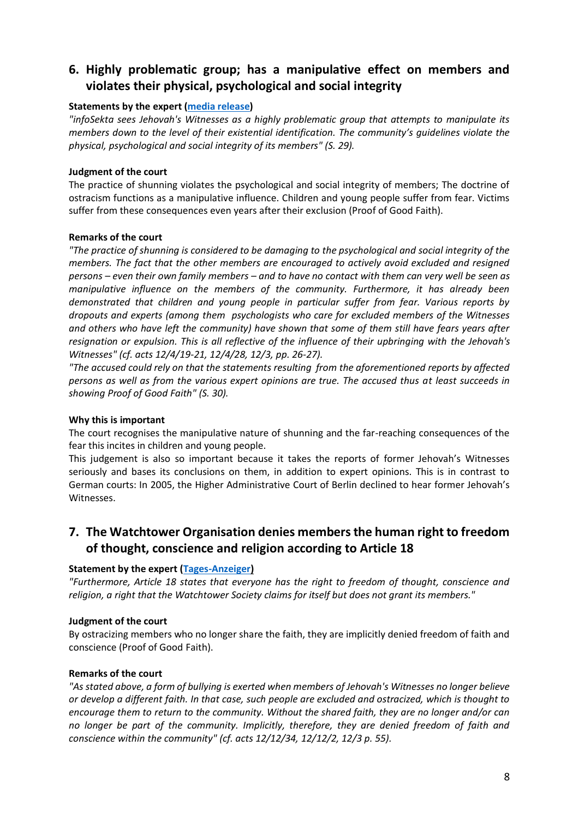### **6. Highly problematic group; has a manipulative effect on members and violates their physical, psychological and social integrity**

#### **Statements by the expert [\(media release\)](http://www.infosekta.ch/media/pdf/2015_MM_Gedenktag_Opfer_WTG_25072015.pdf)**

*"infoSekta sees Jehovah's Witnesses as a highly problematic group that attempts to manipulate its members down to the level of their existential identification. The community's guidelines violate the physical, psychological and social integrity of its members" (S. 29).*

#### **Judgment of the court**

The practice of shunning violates the psychological and social integrity of members; The doctrine of ostracism functions as a manipulative influence. Children and young people suffer from fear. Victims suffer from these consequences even years after their exclusion (Proof of Good Faith).

#### **Remarks of the court**

*"The practice of shunning is considered to be damaging to the psychological and social integrity of the members. The fact that the other members are encouraged to actively avoid excluded and resigned persons – even their own family members – and to have no contact with them can very well be seen as manipulative influence on the members of the community. Furthermore, it has already been demonstrated that children and young people in particular suffer from fear. Various reports by dropouts and experts (among them psychologists who care for excluded members of the Witnesses and others who have left the community) have shown that some of them still have fears years after resignation or expulsion. This is all reflective of the influence of their upbringing with the Jehovah's Witnesses" (cf. acts 12/4/19-21, 12/4/28, 12/3, pp. 26-27).*

*"The accused could rely on that the statements resulting from the aforementioned reports by affected persons as well as from the various expert opinions are true. The accused thus at least succeeds in showing Proof of Good Faith" (S. 30).*

#### **Why this is important**

The court recognises the manipulative nature of shunning and the far-reaching consequences of the fear this incites in children and young people.

This judgement is also so important because it takes the reports of former Jehovah's Witnesses seriously and bases its conclusions on them, in addition to expert opinions. This is in contrast to German courts: In 2005, the Higher Administrative Court of Berlin declined to hear former Jehovah's Witnesses.

### **7. The Watchtower Organisation denies members the human right to freedom of thought, conscience and religion according to Article 18**

#### **Statement by the expert [\(Tages-Anzeiger\)](http://jz.help/wp-content/uploads/2020/07/%C2%ABZeugen-Jehovas-reissen-Familien-auseinander%C2%BB-Schweiz-Standard-tagesanzeiger.ch_.pdf)**

*"Furthermore, Article 18 states that everyone has the right to freedom of thought, conscience and religion, a right that the Watchtower Society claims for itself but does not grant its members."*

#### **Judgment of the court**

By ostracizing members who no longer share the faith, they are implicitly denied freedom of faith and conscience (Proof of Good Faith).

#### **Remarks of the court**

*"As stated above, a form of bullying is exerted when members of Jehovah's Witnesses no longer believe or develop a different faith. In that case, such people are excluded and ostracized, which is thought to encourage them to return to the community. Without the shared faith, they are no longer and/or can no longer be part of the community. Implicitly, therefore, they are denied freedom of faith and conscience within the community" (cf. acts 12/12/34, 12/12/2, 12/3 p. 55).*